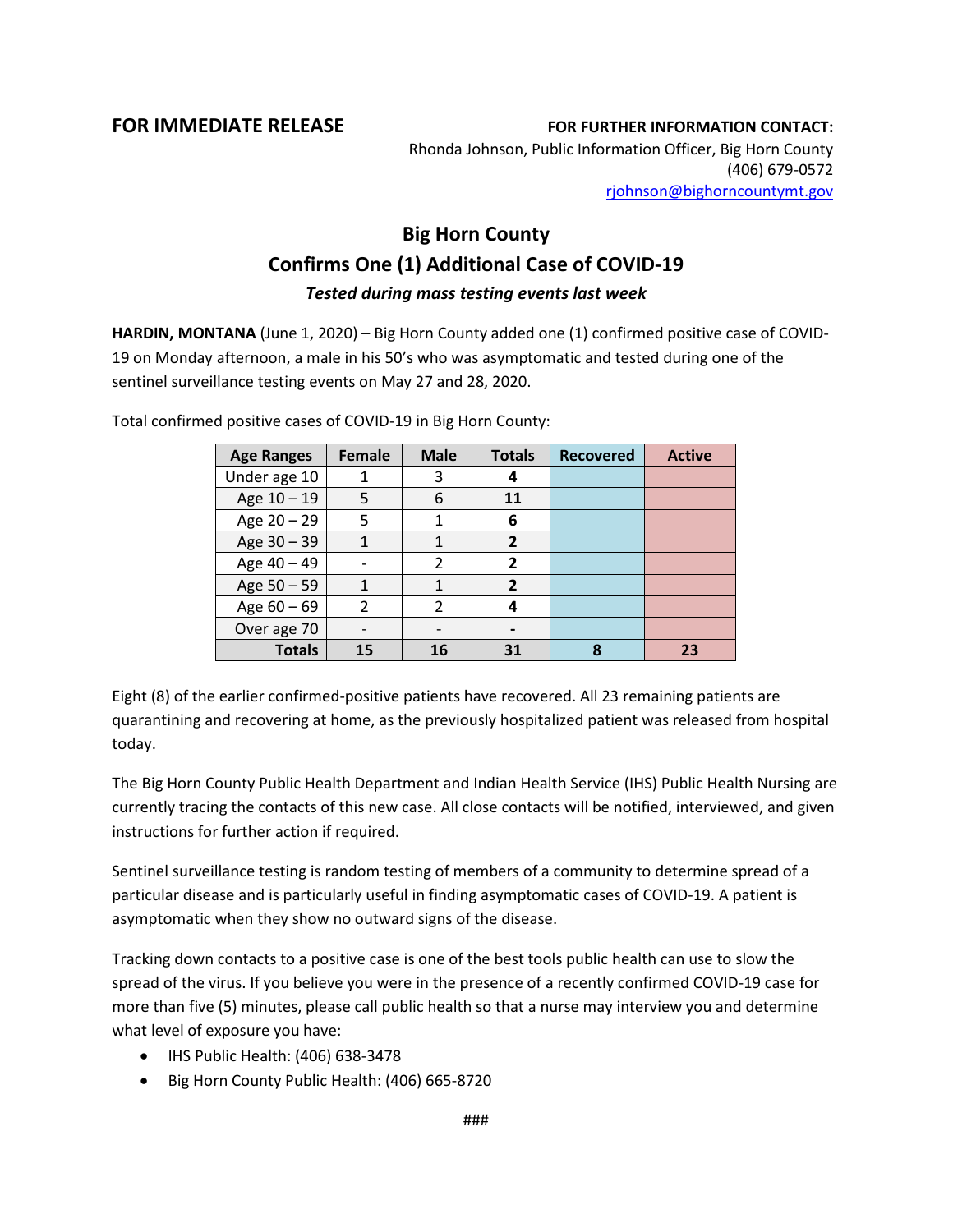## **FOR IMMEDIATE RELEASE FOR FURTHER INFORMATION CONTACT:** Rhonda Johnson, Public Information Officer, Big Horn County (406) 679-0572

[rjohnson@bighorncountymt.gov](mailto:rjohnson@bighorncountymt.gov)

## **Big Horn County Confirms One (1) Additional Case of COVID-19** *Tested during mass testing events last week*

**HARDIN, MONTANA** (June 1, 2020) – Big Horn County added one (1) confirmed positive case of COVID-19 on Monday afternoon, a male in his 50's who was asymptomatic and tested during one of the sentinel surveillance testing events on May 27 and 28, 2020.

| <b>Age Ranges</b> | Female        | <b>Male</b> | <b>Totals</b> | <b>Recovered</b> | <b>Active</b> |
|-------------------|---------------|-------------|---------------|------------------|---------------|
| Under age 10      |               | 3           |               |                  |               |
| Age $10 - 19$     | 5             | 6           | 11            |                  |               |
| Age $20 - 29$     | 5             | 1           | 6             |                  |               |
| Age $30 - 39$     |               |             | 2             |                  |               |
| Age 40 - 49       |               | 2           | 2             |                  |               |
| Age 50 - 59       |               |             | $\mathbf{z}$  |                  |               |
| Age $60 - 69$     | $\mathcal{P}$ |             |               |                  |               |
| Over age 70       |               |             |               |                  |               |
| <b>Totals</b>     | 15            | 16          | 31            | ጸ                | 23            |

Total confirmed positive cases of COVID-19 in Big Horn County:

Eight (8) of the earlier confirmed-positive patients have recovered. All 23 remaining patients are quarantining and recovering at home, as the previously hospitalized patient was released from hospital today.

The Big Horn County Public Health Department and Indian Health Service (IHS) Public Health Nursing are currently tracing the contacts of this new case. All close contacts will be notified, interviewed, and given instructions for further action if required.

Sentinel surveillance testing is random testing of members of a community to determine spread of a particular disease and is particularly useful in finding asymptomatic cases of COVID-19. A patient is asymptomatic when they show no outward signs of the disease.

Tracking down contacts to a positive case is one of the best tools public health can use to slow the spread of the virus. If you believe you were in the presence of a recently confirmed COVID-19 case for more than five (5) minutes, please call public health so that a nurse may interview you and determine what level of exposure you have:

- IHS Public Health: (406) 638-3478
- Big Horn County Public Health: (406) 665-8720